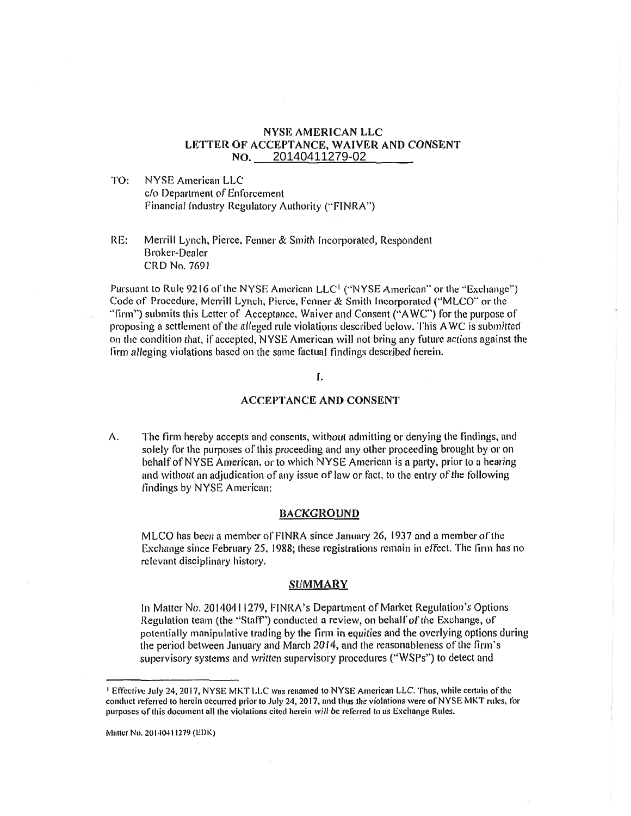#### NYSE AMERICAN LLC LETTER OF ACCEPTANCE, WAIVER AND CONSENT  $NO.$ 20140411279-02

TO: NYSE American LLC c/o Department of Enforcement Financial Industry Regulatory Authority ("FINRA")

RE: Merrill Lynch, Pierce, Fenner & Smith Incorporated, Respondent Broker-Dealer CRD No. 7691

Pursuant to Rule 9216 of the NYSE American LLC<sup>1</sup> ("NYSE American" or the "Exchange") Code of Procedure, Merrill Lynch, Pierce, Fenner & Smith Incorporated ("MLCO" or the "firm") submits this Letter of Acceptance, Waiver and Consent ("AWC") for the purpose of proposing a settlement of the alleged rule violations described below. This AWC is submitted on the condition that, if accepted, NYSE American will not bring any future actions against the firm alleging violations based on the same factual findings described herein.

# I.

# ACCEPTANCE AND CONSENT

A. The firm hereby accepts and consents, without admitting or denying the findings, and solely for the purposes of this proceeding and any other proceeding brought by or on behalf of NYSE American, or to which NYSE American is a party, prior to a hearing and without an adjudication of any issue of law or fact, to the entry of the following findings by NYSE American:

#### **BACKGROUND**

MLCO has been a member or F1NRA since January 26, 1937 and a member of the Exchange since February 25, 1988; these registrations remain in effect. The firm has no relevant disciplinary history.

# **SUMMARY**

In Matter No. 20140411279, FINRA's Department of Market Regulation's Options Regulation team (the "Staff") conducted a review, on behalf of the Exchange, of potentially manipulative trading by the firm in equities and the overlying options during the period between January and March 2014, and the reasonableness of the firm's supervisory systems and written supervisory procedures ("WSPs") to detect and

Effective July 24, 2017, NYSE MKT LLC was renamed to NYSE American LLC. Thus, while certain of the conduct referred to herein occurred prior to July 24, 2017, and thus the violations were of NYSE MKT rules, for purposes of this document all the violations cited herein will be referred to as Exchange Rules.

Matter No. 20140411279 (EDK)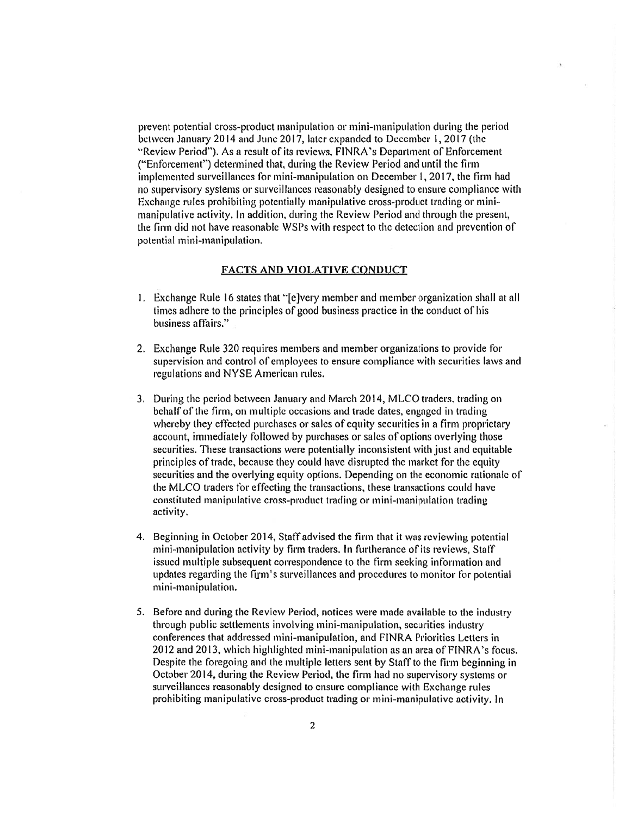prevent potential cross-product manipulation or mini-manipulation during the period between January 2014 and June 2017, later expanded to December I, 2017 (the "Review Period"). As a result of its reviews, FINRA's Department of Enforcement ("Enforcement") determined that, during the Review Period and until the firm implemented surveillances for mini-manipulation on December I, 2017, the firm had no supervisory systems or surveillances reasonably designed to ensure compliance with Exchange rules prohibiting potentially manipulative cross-product trading or minimanipulative activity. In addition, during the Review Period and through the present, the firm did not have reasonable WSPs with respect to the detection and prevention of potential mini-manipulation.

# FACTS AND VIOLATIVE CONDUCT

- 1. Exchange Rule 16 states that "[e]very member and member organization shall at all times adhere to the principles of good business practice in the conduct of his business affairs."
- 2. Exchange Rule 320 requires members and member organizations to provide for supervision and control of employees to ensure compliance with securities laws and regulations and NYSE American rules.
- 3. During the period between January and March 2014, MLCO traders, trading on behalf of the firm, on multiple occasions and trade dates, engaged in trading whereby they effected purchases or sales of equity securities in a firm proprietary account, immediately followed by purchases or sales of options overlying those securities. These transactions were potentially inconsistent with just and equitable principles of trade, because they could have disrupted the market for the equity securities and the overlying equity options. Depending on the economic rationale of the MLCO traders for effecting the transactions, these transactions could have constituted manipulative cross-product trading or mini-manipulation trading activity.
- 4. Beginning in October 2014, Staff advised the firm that it was reviewing potential mini-manipulation activity by firm traders. In furtherance of its reviews, Staff issued multiple subsequent correspondence to the firm seeking information and updates regarding the firm's surveillances and procedures to monitor for potential mini-manipulation.
- 5. Before and during the Review Period, notices were made available to the industry through public settlements involving mini-manipulation, securities industry conferences that addressed mini-manipulation, and FINRA Priorities Letters in 2012 and 2013, which highlighted mini-manipulation as an area of FINRA's focus. Despite the foregoing and the multiple letters sent by Staff to the firm beginning in October 2014, during the Review Period, the firm had no supervisory systems or surveillances reasonably designed to ensure compliance with Exchange rules prohibiting manipulative cross-product trading or mini-manipulative activity. In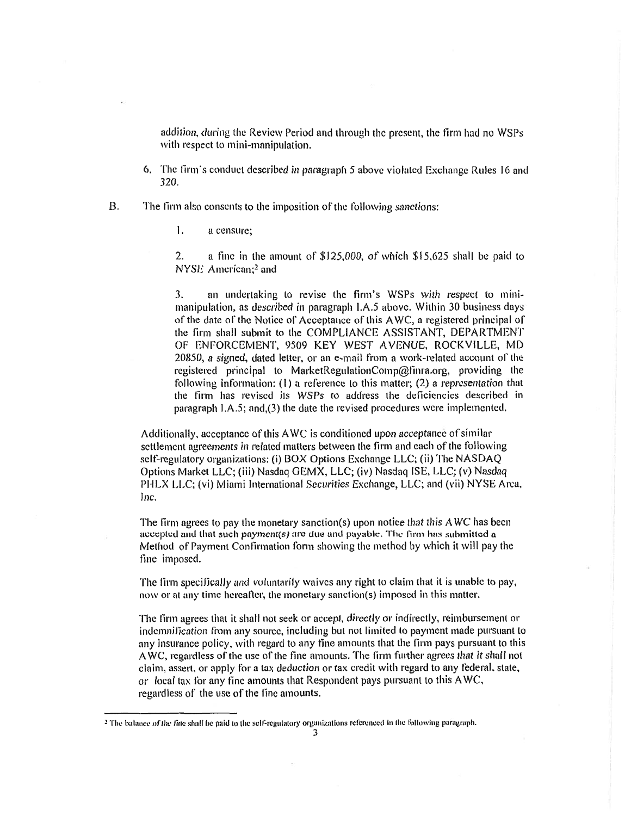addition, during the Review Period and through the present, the firm had no WSPs with respect to mini-manipulation.

6. The firm's conduct described in paragraph 5 above violated Exchange Rules 16 and 320.

B. The firm also consents to the imposition of the following sanctions:

1. a censure;

2. a tine in the amount of' \$125,000, of which \$15,625 shall be paid to NYSE American;<sup>2</sup> and

3, an undertaking to revise the firm's WSPs with respect to minimanipulation, as described in paragraph I.A.5 above. Within 30 business days of the date of the Notice of Acceptance of this AWC, a registered principal of the firm shall submit to the COMPLIANCE ASSISTANT, DEPARTMENT OF ENFORCEMENT, 9509 KEY WEST AVENUE, ROCKVILLE, MD 20850, a signed, dated letter. or an e-mail from a work-related account of the registered principal to MarketRegulationComp@finra.org, providing the following information: (I) a reference to this matter; (2) a representation that the firm has revised its WSPs to address the deficiencies described in paragraph I.A.5; and,(3) the date the revised procedures were implemented.

Additionally, acceptance of this AWC is conditioned upon acceptance of similar settlement agreements in related matters between the firm and each of the following self-regulatory organizations: (i) BOX Options Exchange LLC; (ii) The NASDAQ Options Market LLC; (iii) Nasdaq GEMX, LLC; (iv) Nasdaq ISE, LLC; (v) Nasdaq PHLX LLC; (vi) Miami International Securities Exchange, LLC; and (vii) NYSE Area, Inc.

The firm agrees to pay the monetary sanction(s) upon notice that this AWC has been accepted and that such payment(s) are due and payable. The firm has submitted a Method of Payment Confirmation form showing the method by which it will pay the fine imposed.

The firm specifically and voluntarily waives any right to claim that it is unable to pay, now or at any time hereafter, the monetary sanction(s) imposed in this matter.

The firm agrees that it shall not seek or accept, directly or indirectly, reimbursement or indemnification from any source, including but not limited to payment made pursuant to any insurance policy, with regard to any fine amounts that the firm pays pursuant to this AWC, regardless of the use of the fine amounts. The firm further agrees that it shall not claim, assert, or apply for a tax deduction or tax credit with regard to any federal, state, or local tax for any tine amounts that Respondent pays pursuant to this AWC, regardless of the use of the line amounts.

<sup>&</sup>lt;sup>2</sup> The balance of the fine shall be paid to the self-regulatory organizations referenced in the following paragraph.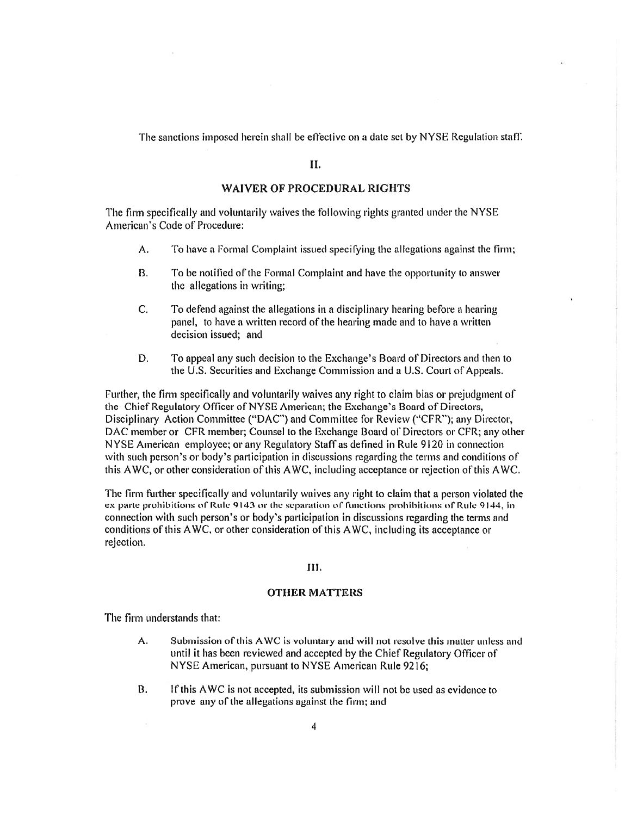The sanctions imposed herein shall be effective on a date set by NYSE Regulation staff.

#### П.

# **WAIVER OF PROCEDURAL RIGHTS**

The firm specifically and voluntarily waives the following rights granted under the NYSE American's Code of Procedure:

- A. To have a Formal Complaint issued specifying the allegations against the firm;
- B. To be notified of the Formal Complaint and have the opportunity to answer the allegations in writing;
- C. To defend against the allegations in a disciplinary hearing before a hearing panel, to have a written record of the hearing made and to have a written decision issued; and
- D. To appeal any such decision to the Exchange's Board of Directors and then to the U.S. Securities and Exchange Commission and a U.S. Court of Appeals.

Further, the firm specifically and voluntarily waives any right to claim bias or prejudgment of the Chief Regulatory Officer of NYSE American; the Exchange's Board of Directors, Disciplinary Action Committee ("DAC") and Committee for Review ("CFR"); any Director, DAC member or CFR member; Counsel to the Exchange Board of Directors or CFR; any other NYSE American employee; or any Regulatory Staff as defined in Rule 9120 in connection with such person's or body's participation in discussions regarding the terms and conditions of this AWC, or other consideration of this AWC, including acceptance or rejection of this AWC.

The firm further specifically and voluntarily waives any right to claim that a person violated the ex parte prohibitions of Rule 9143 or the separation of functions prohibitions of Rule 9144, in connection with such person's or body's participation in discussions regarding the terms and conditions of this AWC, or other consideration of this AWC, including its acceptance or rejection.

#### Ш.

#### **OTHER MATTERS**

The firm understands that:

- A. Submission of this AWC is voluntary and will not resolve this matter unless and until it has been reviewed and accepted by the Chief Regulatory Officer of NYSE American, pursuant to NYSE American Rule 9216;
- B. If this AWC is not accepted, its submission will not be used as evidence to prove any of the allegations against the firm; and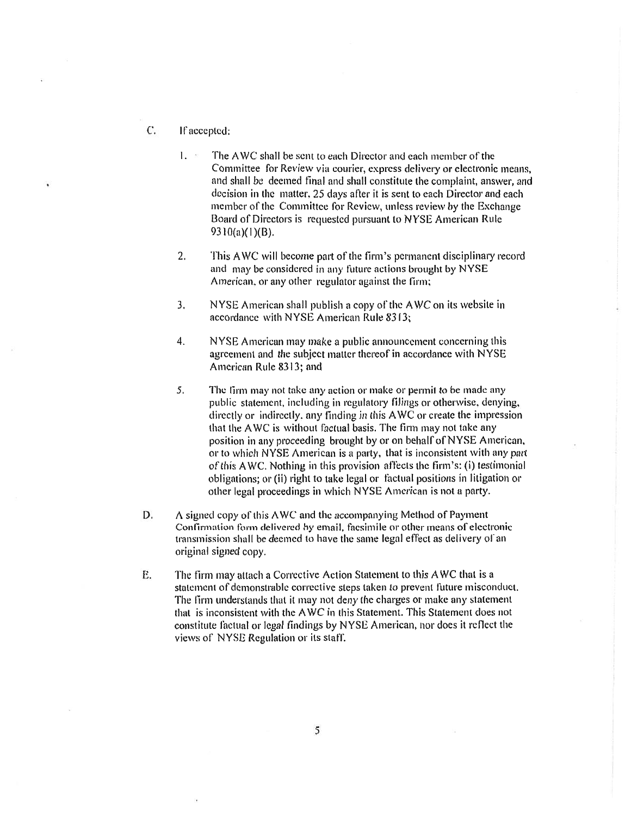- C. If accepted:
	- $1.5$ The AWC shall he sent to each Director and each member of the Committee for Review via courier, express delivery or electronic means, and shall be deemed final and shall constitute the complaint, answer, and decision in the matter. 25 days after it is sent to each Director and each member of the Committee for Review, unless review by the Exchange Board of Directors is requested pursuant to NYSE American Rule 9310(a)(1)(B).
	- 2. This AWC will become part of the firm's permanent disciplinary record and may be considered in any future actions brought by NYSE American, or any other regulator against the firm;
	- 3. NYSE American shall publish a copy of the AWC on its website in accordance with NYSE American Rule 8313;
	- 4. NYSE American may make a public announcement concerning this agreement and the subject matter thereof in accordance with NYSE American Rule 8313; and
	- 5. The firm may not take any action or make or permit to be made any public statement, including in regulatory filings or otherwise, denying, directly or indirectly, any finding in this AWC or create the impression that the AWC is without factual basis. The firm may not take any position in any proceeding brought by or on behalf of NYSE American, or to which NYSE American is a party, that is inconsistent with any part of this AWC. Nothing in this provision affects the firm's: (i) testimonial obligations; or (ii) right to take legal or factual positions in litigation or other legal proceedings in which NYSE American is not a party.
- D. A signed copy of this AWC and the accompanying Method of Payment Confirmation form delivered by email, facsimile or other means of electronic transmission shall be deemed to have the same legal effect as delivery of an original signed copy.
- E. The firm may attach a Corrective Action Statement to this AWC that is a statement of demonstrable corrective steps taken to prevent future misconduct. The firm understands that it may not deny the charges or make any statement that is inconsistent with the AWC in this Statement. This Statement does not constitute factual or legal findings by NYSE American, nor does it reflect the views of NYSE Regulation or its staff.

5